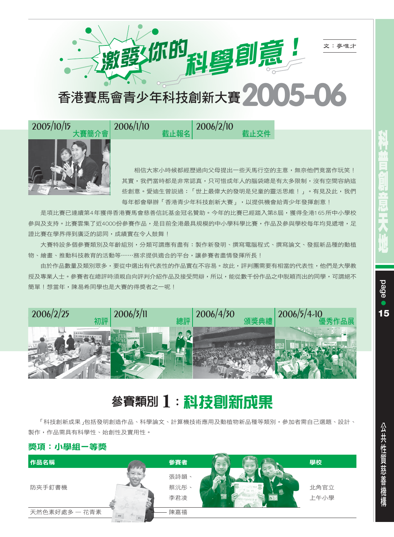文:麥唯才

激電你的 科學創意

香港賽馬會青少年科技創新大賽 **2005-06**

! **2006/2/10** -



相信大家小時候都經歷過向父母提出一些天馬行空的主意,無奈他們竟當作玩笑! 其實,我們當時都是非常認真,只可惜成年人的腦袋總是有太多限制,沒有空間容納這 些創意。愛迪生曾説過:「世上最偉大的發明是兒童的靈活思維!」。有見及此,我們 每年都會舉辦「香港青少年科技創新大賽」,以提供機會給青少年發揮創意!

截止交件

是項比賽已連續第4年獲得香港賽馬會慈善信託基金冠名贊助。今年的比賽已經踏入第8屆,獲得全港165所中小學校 參與及支持。比賽雲集了近4000份參賽作品,是目前全港最具規模的中小學科學比賽,作品及參與學校每年均見遞增,足 證比賽在學界得到廣泛的認同,成績實在令人鼓舞!

大賽特設多個參賽類別及年齡組別,分類可謂應有盡有:製作新發明、撰寫電腦程式、撰寫論文、發掘新品種的動植 物、繪畫、推動科技教育的活動等……務求提供適合的平台,讓參賽者盡情發揮所長!

由於作品數量及類別眾多,要從中選出有代表性的作品實在不容易。故此,評判團需要有相當的代表性,他們是大學教 授及專業人士。參賽者在總評時須親自向評判介紹作品及接受問辯,所以,能從數千份作品之中脱穎而出的同學,可謂絕不 簡單!想當年,陳易希同學也是大賽的得獎者之一呢!



# 参賽類別 1: 科技<mark>創新成果</mark>

「科技創新成果 」包括發明創造作品、科學論文、計算機技術應用及動植物新品種等類別,參加者需自己選題、設計、 製作,作品需具有科學性、始創性及實用性。

### 獎項:小學組ー等獎

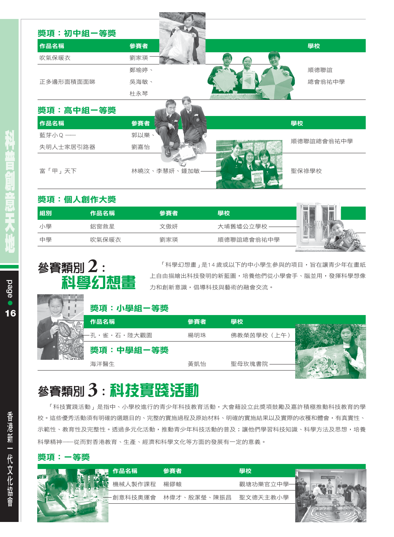| 作品名稱      | 參賽者         | 學校         |
|-----------|-------------|------------|
| 吹氣保暖衣     | 劉家瑛         |            |
|           | 鄭瑜婷、        | 順德聯誼       |
| 正多邊形面積面面睇 | 吳海敏、        | 總會翁祐中學     |
|           | 杜永琴         |            |
| 獎項:高中組一等獎 |             |            |
| 作品名稱      | 參賽者         | 學校         |
| 藍芽小Q ––   | 郭以樂、        |            |
| 失明人士家居引路器 | 劉嘉怡         | 順德聯誼總會翁祐中學 |
|           |             |            |
| 富「甲」天下    | 林曉汶、李慧妍、鍾加敏 | 聖保祿學校      |

### 獎項:個人創作大獎

| 組別 | 作品名稱  | 參賽者 | 學校         |  |
|----|-------|-----|------------|--|
| 小學 | 鋁窗救星  | 文傲妍 | 大埔舊墟公立學校   |  |
| 中學 | 吹氣保暖衣 | 劉家瑛 | 順德聯誼總會翁祐中學 |  |

| 參賽類別 2:<br>科學幻想畫 |           |     | 「科學幻想畫」是14歲或以下的中小學生參與的項目,旨在讓青少年在畫紙<br>上自由描繪出科技發明的新藍圖,培養他們從小學會手、腦並用,發揮科學想像 |  |
|------------------|-----------|-----|---------------------------------------------------------------------------|--|
|                  |           |     | 力和創新意識,倡導科技與藝術的融會交流。                                                      |  |
|                  | 獎項:小學組一等獎 |     |                                                                           |  |
|                  | 作品名稱      | 參賽者 | 壆校                                                                        |  |
|                  | ・雀・石・陸大觀園 | 楊明珠 | 佛教榮茵學校(上午                                                                 |  |

## 参賽類別3:科技實踐活動

海洋醫生

獎項:中學組一等獎

「科技實踐活動」是指中、小學校進行的青少年科技教育活動,大會藉設立此獎項鼓勵及嘉許積極推動科技教育的學 校。這些優秀活動須有明確的選題目的、完整的實施過程及原始材料、明確的實施結果以及實際的收穫和體會,有真實性、 示範性、教育性及完整性。透過多元化活動,推動青少年科技活動的普及;讓他們學習科技知識、科學方法及思想,培養 科學精神——從而對香港教育、生產、經濟和科學文化等方面的發展有一定的意義。

黃凱怡

聖母玫瑰書院

#### 獎項:一等獎